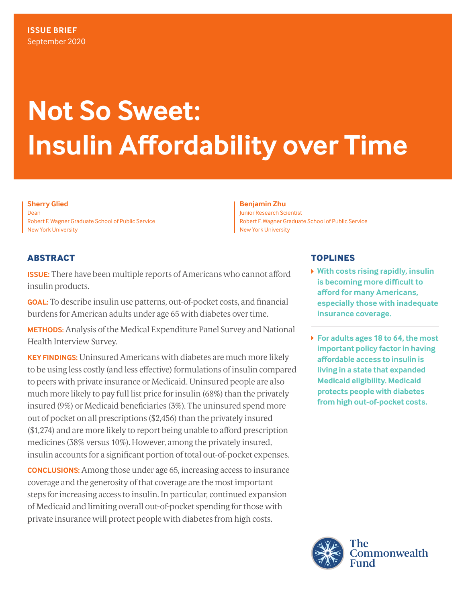# **Not So Sweet: Insulin Affordability over Time**

**Sherry Glied**  Dean Robert F. Wagner Graduate School of Public Service New York University

### **Benjamin Zhu**

Junior Research Scientist Robert F. Wagner Graduate School of Public Service New York University

### **ABSTRACT**

**ISSUE:** There have been multiple reports of Americans who cannot afford insulin products.

**GOAL:** To describe insulin use patterns, out-of-pocket costs, and financial burdens for American adults under age 65 with diabetes over time.

**METHODS:** Analysis of the Medical Expenditure Panel Survey and National Health Interview Survey.

**KEY FINDINGS:** Uninsured Americans with diabetes are much more likely to be using less costly (and less effective) formulations of insulin compared to peers with private insurance or Medicaid. Uninsured people are also much more likely to pay full list price for insulin (68%) than the privately insured (9%) or Medicaid beneficiaries (3%). The uninsured spend more out of pocket on all prescriptions (\$2,456) than the privately insured (\$1,274) and are more likely to report being unable to afford prescription medicines (38% versus 10%). However, among the privately insured, insulin accounts for a significant portion of total out-of-pocket expenses.

**CONCLUSIONS:** Among those under age 65, increasing access to insurance coverage and the generosity of that coverage are the most important steps for increasing access to insulin. In particular, continued expansion of Medicaid and limiting overall out-of-pocket spending for those with private insurance will protect people with diabetes from high costs.

### **TOPLINES**

- **With costs rising rapidly, insulin is becoming more difficult to afford for many Americans, especially those with inadequate insurance coverage.**
- **For adults ages 18 to 64, the most important policy factor in having affordable access to insulin is living in a state that expanded Medicaid eligibility. Medicaid protects people with diabetes from high out-of-pocket costs.**

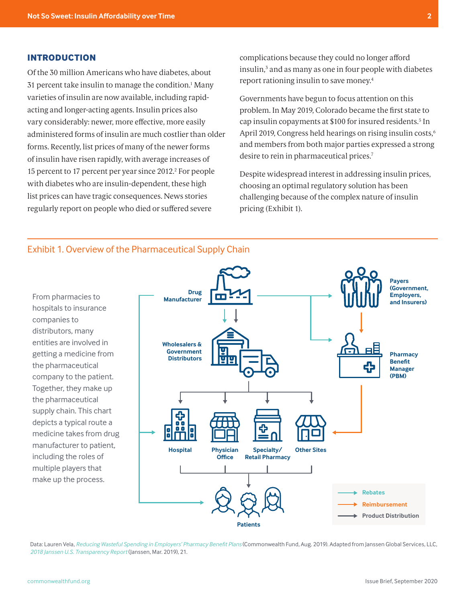### <span id="page-1-0"></span>**INTRODUCTION**

Of the 30 million Americans who have diabetes, about 31 percent take insulin to manage the condition[.1](#page-11-0) Many varieties of insulin are now available, including rapidacting and longer-acting agents. Insulin prices also vary considerably: newer, more effective, more easily administered forms of insulin are much costlier than older forms. Recently, list prices of many of the newer forms of insulin have risen rapidly, with average increases of 15 percent to 17 percent per year since 2012.<sup>2</sup> For people with diabetes who are insulin-dependent, these high list prices can have tragic consequences. News stories regularly report on people who died or suffered severe

complications because they could no longer afford insulin,<sup>[3](#page-11-0)</sup> and as many as one in four people with diabetes report rationing insulin to save money.[4](#page-11-0)

Governments have begun to focus attention on this problem. In May 2019, Colorado became the first state to cap insulin copayments at \$100 for insured residents[.5](#page-11-0) In April 2019, Congress held hearings on rising insulin costs,<sup>6</sup> and members from both major parties expressed a strong desire to rein in pharmaceutical prices.<sup>[7](#page-11-0)</sup>

Despite widespread interest in addressing insulin prices, choosing an optimal regulatory solution has been challenging because of the complex nature of insulin pricing (Exhibit 1).



### Exhibit 1. Overview of the Pharmaceutical Supply Chain

Data: Lauren Vela, *[Reducing Wasteful Spending in Employers' Pharmacy Benefit Plans](https://www.commonwealthfund.org/publications/issue-briefs/2019/aug/reducing-wasteful-spending-employers-pharmacy-benefit-plans)* (Commonwealth Fund, Aug. 2019). Adapted from Janssen Global Services, LLC, *[2018 Janssen U.S. Transparency Report](https://jnj-janssen.brightspotcdn.com/30/0e/a365aea641e28a57573355358e01/2018-janssen-us-transparency-report.pdf#page=21)* (Janssen, Mar. 2019), 21.

**Patients**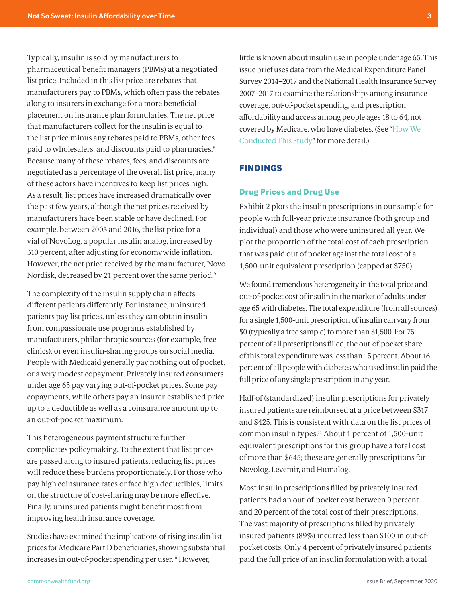<span id="page-2-0"></span>Typically, insulin is sold by manufacturers to pharmaceutical benefit managers (PBMs) at a negotiated list price. Included in this list price are rebates that manufacturers pay to PBMs, which often pass the rebates along to insurers in exchange for a more beneficial placement on insurance plan formularies. The net price that manufacturers collect for the insulin is equal to the list price minus any rebates paid to PBMs, other fees paid to wholesalers, and discounts paid to pharmacies.[8](#page-11-0) Because many of these rebates, fees, and discounts are negotiated as a percentage of the overall list price, many of these actors have incentives to keep list prices high. As a result, list prices have increased dramatically over the past few years, although the net prices received by manufacturers have been stable or have declined. For example, between 2003 and 2016, the list price for a vial of NovoLog, a popular insulin analog, increased by 310 percent, after adjusting for economywide inflation. However, the net price received by the manufacturer, Novo Nordisk, decreased by 21 percent over the same period.[9](#page-11-0)

The complexity of the insulin supply chain affects different patients differently. For instance, uninsured patients pay list prices, unless they can obtain insulin from compassionate use programs established by manufacturers, philanthropic sources (for example, free clinics), or even insulin-sharing groups on social media. People with Medicaid generally pay nothing out of pocket, or a very modest copayment. Privately insured consumers under age 65 pay varying out-of-pocket prices. Some pay copayments, while others pay an insurer-established price up to a deductible as well as a coinsurance amount up to an out-of-pocket maximum.

This heterogeneous payment structure further complicates policymaking. To the extent that list prices are passed along to insured patients, reducing list prices will reduce these burdens proportionately. For those who pay high coinsurance rates or face high deductibles, limits on the structure of cost-sharing may be more effective. Finally, uninsured patients might benefit most from improving health insurance coverage.

Studies have examined the implications of rising insulin list prices for Medicare Part D beneficiaries, showing substantial increases in out-of-pocket spending per user[.10](#page-11-0) However,

little is known about insulin use in people under age 65. This issue brief uses data from the Medical Expenditure Panel Survey 2014–2017 and the National Health Insurance Survey 2007–2017 to examine the relationships among insurance coverage, out-of-pocket spending, and prescription affordability and access among people ages 18 to 64, not covered by Medicare, who have diabetes. (See "[How We](#page-8-0)  [Conducted This Study"](#page-8-0) for more detail.)

### **FINDINGS**

### **Drug Prices and Drug Use**

Exhibit 2 plots the insulin prescriptions in our sample for people with full-year private insurance (both group and individual) and those who were uninsured all year. We plot the proportion of the total cost of each prescription that was paid out of pocket against the total cost of a 1,500-unit equivalent prescription (capped at \$750).

We found tremendous heterogeneity in the total price and out-of-pocket cost of insulin in the market of adults under age 65 with diabetes. The total expenditure (from all sources) for a single 1,500-unit prescription of insulin can vary from \$0 (typically a free sample) to more than \$1,500. For 75 percent of all prescriptions filled, the out-of-pocket share of this total expenditure was less than 15 percent. About 16 percent of all people with diabetes who used insulin paid the full price of any single prescription in any year.

Half of (standardized) insulin prescriptions for privately insured patients are reimbursed at a price between \$317 and \$425. This is consistent with data on the list prices of common insulin types[.11](#page-11-0) About 1 percent of 1,500-unit equivalent prescriptions for this group have a total cost of more than \$645; these are generally prescriptions for Novolog, Levemir, and Humalog.

Most insulin prescriptions filled by privately insured patients had an out-of-pocket cost between 0 percent and 20 percent of the total cost of their prescriptions. The vast majority of prescriptions filled by privately insured patients (89%) incurred less than \$100 in out-ofpocket costs. Only 4 percent of privately insured patients paid the full price of an insulin formulation with a total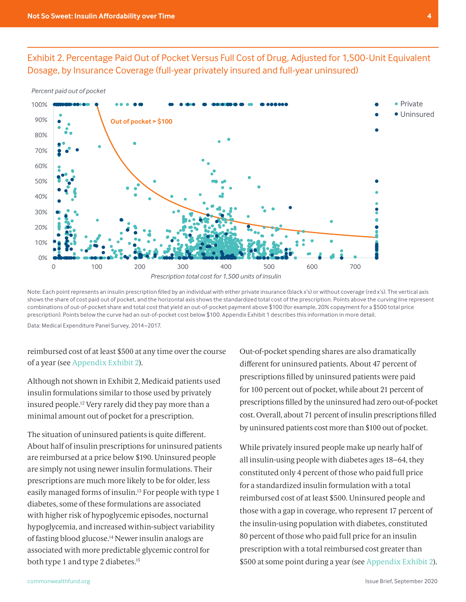<span id="page-3-0"></span>Exhibit 2. Percentage Paid Out of Pocket Versus Full Cost of Drug, Adjusted for 1,500-Unit Equivalent Dosage, by Insurance Coverage (full-year privately insured and full-year uninsured)





Note: Each point represents an insulin prescription filled by an individual with either private insurance (black x's) or without coverage (red x's). The vertical axis shows the share of cost paid out of pocket, and the horizontal axis shows the standardized total cost of the prescription. Points above the curving line represent combinations of out-of-pocket share and total cost that yield an out-of-pocket payment above \$100 (for example, 20% copayment for a \$500 total price prescription). Points below the curve had an out-of-pocket cost below \$100. Appendix Exhibit 1 describes this information in more detail.

Data: Medical Expenditure Panel Survey, 2014–2017.

reimbursed cost of at least \$500 at any time over the course of a year (see [Appendix Exhibit 2](#page-9-0)).

Although not shown in Exhibit 2, Medicaid patients used insulin formulations similar to those used by privately insured people[.12](#page-11-0) Very rarely did they pay more than a minimal amount out of pocket for a prescription.

The situation of uninsured patients is quite different. About half of insulin prescriptions for uninsured patients are reimbursed at a price below \$190. Uninsured people are simply not using newer insulin formulations. Their prescriptions are much more likely to be for older, less easily managed forms of insulin[.13](#page-11-0) For people with type 1 diabetes, some of these formulations are associated with higher risk of hypoglycemic episodes, nocturnal hypoglycemia, and increased within-subject variability of fasting blood glucose[.14](#page-11-0) Newer insulin analogs are associated with more predictable glycemic control for both type 1 and type 2 diabetes[.15](#page-11-0)

Out-of-pocket spending shares are also dramatically different for uninsured patients. About 47 percent of prescriptions filled by uninsured patients were paid for 100 percent out of pocket, while about 21 percent of prescriptions filled by the uninsured had zero out-of-pocket cost. Overall, about 71 percent of insulin prescriptions filled by uninsured patients cost more than \$100 out of pocket.

While privately insured people make up nearly half of all insulin-using people with diabetes ages 18–64, they constituted only 4 percent of those who paid full price for a standardized insulin formulation with a total reimbursed cost of at least \$500. Uninsured people and those with a gap in coverage, who represent 17 percent of the insulin-using population with diabetes, constituted 80 percent of those who paid full price for an insulin prescription with a total reimbursed cost greater than \$500 at some point during a year (see [Appendix Exhibit 2](#page-9-0)).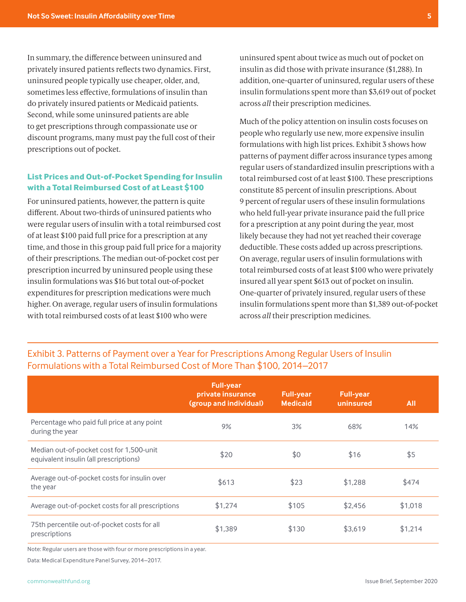In summary, the difference between uninsured and privately insured patients reflects two dynamics. First, uninsured people typically use cheaper, older, and, sometimes less effective, formulations of insulin than do privately insured patients or Medicaid patients. Second, while some uninsured patients are able to get prescriptions through compassionate use or discount programs, many must pay the full cost of their prescriptions out of pocket.

### **List Prices and Out-of-Pocket Spending for Insulin with a Total Reimbursed Cost of at Least \$100**

For uninsured patients, however, the pattern is quite different. About two-thirds of uninsured patients who were regular users of insulin with a total reimbursed cost of at least \$100 paid full price for a prescription at any time, and those in this group paid full price for a majority of their prescriptions. The median out-of-pocket cost per prescription incurred by uninsured people using these insulin formulations was \$16 but total out-of-pocket expenditures for prescription medications were much higher. On average, regular users of insulin formulations with total reimbursed costs of at least \$100 who were

uninsured spent about twice as much out of pocket on insulin as did those with private insurance (\$1,288). In addition, one-quarter of uninsured, regular users of these insulin formulations spent more than \$3,619 out of pocket across *all* their prescription medicines.

Much of the policy attention on insulin costs focuses on people who regularly use new, more expensive insulin formulations with high list prices. Exhibit 3 shows how patterns of payment differ across insurance types among regular users of standardized insulin prescriptions with a total reimbursed cost of at least \$100. These prescriptions constitute 85 percent of insulin prescriptions. About 9 percent of regular users of these insulin formulations who held full-year private insurance paid the full price for a prescription at any point during the year, most likely because they had not yet reached their coverage deductible. These costs added up across prescriptions. On average, regular users of insulin formulations with total reimbursed costs of at least \$100 who were privately insured all year spent \$613 out of pocket on insulin. One-quarter of privately insured, regular users of these insulin formulations spent more than \$1,389 out-of-pocket across *all* their prescription medicines.

# Exhibit 3. Patterns of Payment over a Year for Prescriptions Among Regular Users of Insulin Formulations with a Total Reimbursed Cost of More Than \$100, 2014–2017

|                                                                                    | <b>Full-year</b><br>private insurance<br>(group and individual) | <b>Full-year</b><br><b>Medicaid</b> | <b>Full-year</b><br>uninsured | <b>All</b> |
|------------------------------------------------------------------------------------|-----------------------------------------------------------------|-------------------------------------|-------------------------------|------------|
| Percentage who paid full price at any point<br>during the year                     | 9%                                                              | 3%                                  | 68%                           | 14%        |
| Median out-of-pocket cost for 1,500-unit<br>equivalent insulin (all prescriptions) | \$20                                                            | \$0                                 | \$16                          | \$5        |
| Average out-of-pocket costs for insulin over<br>the year                           | \$613                                                           | \$23                                | \$1,288                       | \$474      |
| Average out-of-pocket costs for all prescriptions                                  | \$1,274                                                         | \$105                               | \$2,456                       | \$1,018    |
| 75th percentile out-of-pocket costs for all<br>prescriptions                       | \$1,389                                                         | \$130                               | \$3,619                       | \$1,214    |

Note: Regular users are those with four or more prescriptions in a year.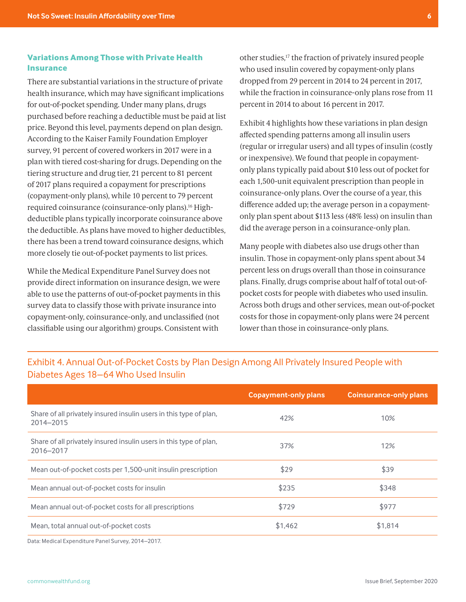### <span id="page-5-0"></span>**Variations Among Those with Private Health Insurance**

There are substantial variations in the structure of private health insurance, which may have significant implications for out-of-pocket spending. Under many plans, drugs purchased before reaching a deductible must be paid at list price. Beyond this level, payments depend on plan design. According to the Kaiser Family Foundation Employer survey, 91 percent of covered workers in 2017 were in a plan with tiered cost-sharing for drugs. Depending on the tiering structure and drug tier, 21 percent to 81 percent of 2017 plans required a copayment for prescriptions (copayment-only plans), while 10 percent to 79 percent required coinsurance (coinsurance-only plans)[.16](#page-11-0) Highdeductible plans typically incorporate coinsurance above the deductible. As plans have moved to higher deductibles, there has been a trend toward coinsurance designs, which more closely tie out-of-pocket payments to list prices.

While the Medical Expenditure Panel Survey does not provide direct information on insurance design, we were able to use the patterns of out-of-pocket payments in this survey data to classify those with private insurance into copayment-only, coinsurance-only, and unclassified (not classifiable using our algorithm) groups. Consistent with

other studies[,17](#page-11-0) the fraction of privately insured people who used insulin covered by copayment-only plans dropped from 29 percent in 2014 to 24 percent in 2017, while the fraction in coinsurance-only plans rose from 11 percent in 2014 to about 16 percent in 2017.

Exhibit 4 highlights how these variations in plan design affected spending patterns among all insulin users (regular or irregular users) and all types of insulin (costly or inexpensive). We found that people in copaymentonly plans typically paid about \$10 less out of pocket for each 1,500-unit equivalent prescription than people in coinsurance-only plans. Over the course of a year, this difference added up; the average person in a copaymentonly plan spent about \$113 less (48% less) on insulin than did the average person in a coinsurance-only plan.

Many people with diabetes also use drugs other than insulin. Those in copayment-only plans spent about 34 percent less on drugs overall than those in coinsurance plans. Finally, drugs comprise about half of total out-ofpocket costs for people with diabetes who used insulin. Across both drugs and other services, mean out-of-pocket costs for those in copayment-only plans were 24 percent lower than those in coinsurance-only plans.

|                                                                                 | <b>Copayment-only plans</b> | <b>Coinsurance-only plans</b> |
|---------------------------------------------------------------------------------|-----------------------------|-------------------------------|
| Share of all privately insured insulin users in this type of plan,<br>2014-2015 | 42%                         | 10%                           |
| Share of all privately insured insulin users in this type of plan,<br>2016-2017 | 37%                         | 12%                           |
| Mean out-of-pocket costs per 1,500-unit insulin prescription                    | \$29                        | \$39                          |
| Mean annual out-of-pocket costs for insulin                                     | \$235                       | \$348                         |
| Mean annual out-of-pocket costs for all prescriptions                           | \$729                       | \$977                         |
| Mean, total annual out-of-pocket costs                                          | \$1,462                     | \$1,814                       |

# Exhibit 4. Annual Out-of-Pocket Costs by Plan Design Among All Privately Insured People with Diabetes Ages 18–64 Who Used Insulin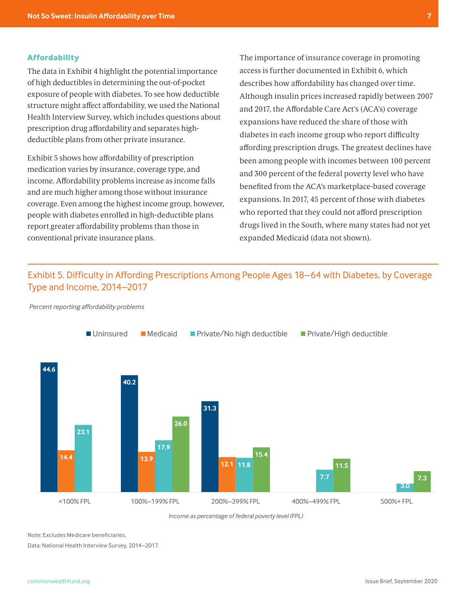### **Affordability**

The data in Exhibit 4 highlight the potential importance of high deductibles in determining the out-of-pocket exposure of people with diabetes. To see how deductible structure might affect affordability, we used the National Health Interview Survey, which includes questions about prescription drug affordability and separates highdeductible plans from other private insurance.

Exhibit 5 shows how affordability of prescription medication varies by insurance, coverage type, and income. Affordability problems increase as income falls and are much higher among those without insurance coverage. Even among the highest income group, however, people with diabetes enrolled in high-deductible plans report greater affordability problems than those in conventional private insurance plans.

The importance of insurance coverage in promoting access is further documented in Exhibit 6, which describes how affordability has changed over time. Although insulin prices increased rapidly between 2007 and 2017, the Affordable Care Act's (ACA's) coverage expansions have reduced the share of those with diabetes in each income group who report difficulty affording prescription drugs. The greatest declines have been among people with incomes between 100 percent and 300 percent of the federal poverty level who have benefited from the ACA's marketplace-based coverage expansions. In 2017, 45 percent of those with diabetes who reported that they could not afford prescription drugs lived in the South, where many states had not yet expanded Medicaid (data not shown).

# Exhibit 5. Difficulty in Affording Prescriptions Among People Ages 18–64 with Diabetes, by Coverage Difficulty in Affording Prescriptions Among People Ages 18–64 with Diabetes, Type and Income, 2014–2017



*Percent reporting affordability problems*

*Income as percentage of federal poverty level (FPL)*

Note: Excludes Medicare beneficiaries.

Data: National Health Interview Survey, 2014–2017.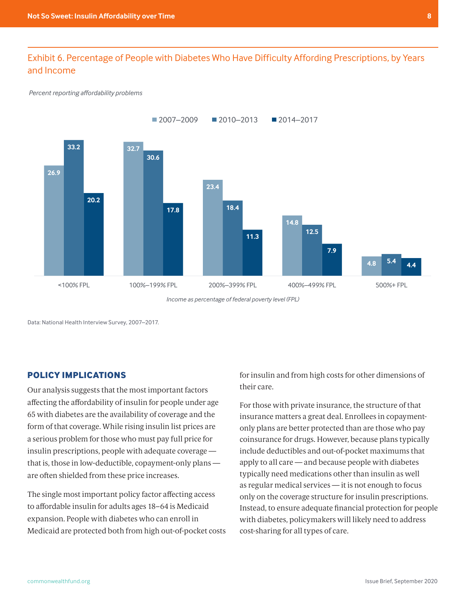# Exhibit 6. Percentage of People with Diabetes Who Have Difficulty Affording Prescriptions, by Years and Income extensive presents, by Years and Income

#### *Percent reporting affordability problems*



*Income as percentage of federal poverty level (FPL)*

Data: National Health Interview Survey, 2007–2017. Data: National Health Interview Survey, 2007–2017.

### **POLICY IMPLICATIONS**

Our analysis suggests that the most important factors affecting the affordability of insulin for people under age 65 with diabetes are the availability of coverage and the form of that coverage. While rising insulin list prices are a serious problem for those who must pay full price for insulin prescriptions, people with adequate coverage that is, those in low-deductible, copayment-only plans are often shielded from these price increases.

The single most important policy factor affecting access to affordable insulin for adults ages 18–64 is Medicaid expansion. People with diabetes who can enroll in Medicaid are protected both from high out-of-pocket costs for insulin and from high costs for other dimensions of their care.

For those with private insurance, the structure of that insurance matters a great deal. Enrollees in copaymentonly plans are better protected than are those who pay coinsurance for drugs. However, because plans typically include deductibles and out-of-pocket maximums that apply to all care — and because people with diabetes typically need medications other than insulin as well as regular medical services — it is not enough to focus only on the coverage structure for insulin prescriptions. Instead, to ensure adequate financial protection for people with diabetes, policymakers will likely need to address cost-sharing for all types of care.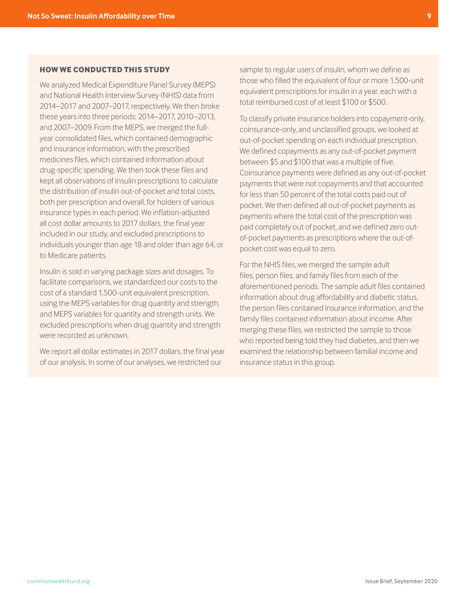### <span id="page-8-0"></span>**HOW WE CONDUCTED THIS STUDY**

We analyzed Medical Expenditure Panel Survey (MEPS) and National Health Interview Survey (NHIS) data from 2014–2017 and 2007–2017, respectively. We then broke these years into three periods: 2014–2017, 2010–2013, and 2007–2009. From the MEPS, we merged the fullyear consolidated files, which contained demographic and insurance information, with the prescribed medicines files, which contained information about drug-specific spending. We then took these files and kept all observations of insulin prescriptions to calculate the distribution of insulin out-of-pocket and total costs, both per prescription and overall, for holders of various insurance types in each period. We inflation-adjusted all cost dollar amounts to 2017 dollars, the final year included in our study, and excluded prescriptions to individuals younger than age 18 and older than age 64, or to Medicare patients.

Insulin is sold in varying package sizes and dosages. To facilitate comparisons, we standardized our costs to the cost of a standard 1,500-unit equivalent prescription, using the MEPS variables for drug quantity and strength, and MEPS variables for quantity and strength units. We excluded prescriptions when drug quantity and strength were recorded as unknown.

We report all dollar estimates in 2017 dollars, the final year of our analysis. In some of our analyses, we restricted our

sample to regular users of insulin, whom we define as those who filled the equivalent of four or more 1,500-unit equivalent prescriptions for insulin in a year, each with a total reimbursed cost of at least \$100 or \$500.

To classify private insurance holders into copayment-only, coinsurance-only, and unclassified groups, we looked at out-of-pocket spending on each individual prescription. We defined copayments as any out-of-pocket payment between \$5 and \$100 that was a multiple of five. Coinsurance payments were defined as any out-of-pocket payments that were not copayments and that accounted for less than 50 percent of the total costs paid out of pocket. We then defined all out-of-pocket payments as payments where the total cost of the prescription was paid completely out of pocket, and we defined zero outof-pocket payments as prescriptions where the out-ofpocket cost was equal to zero.

For the NHIS files, we merged the sample adult files, person files, and family files from each of the aforementioned periods. The sample adult files contained information about drug affordability and diabetic status, the person files contained insurance information, and the family files contained information about income. After merging these files, we restricted the sample to those who reported being told they had diabetes, and then we examined the relationship between familial income and insurance status in this group.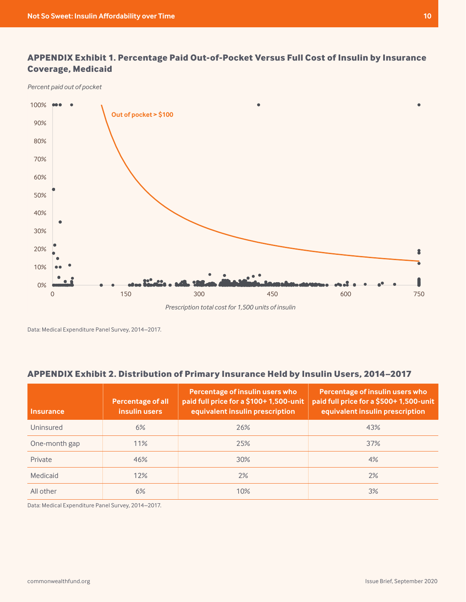# <span id="page-9-0"></span>**APPENDIX Exhibit 1. Percentage Paid Out-of-Pocket Versus Full Cost of Insulin by Insurance**  Appendix Exhibit 1 **Coverage, Medicaid** Paid Out-of-Pocket Versus Full Coverage, Paid Out-of-Pocket Versus Full Cost of Insulin by Medicaid

*Percent paid out of pocket*



Data: Medical Expenditure Panel Survey, 2014–2017.

## **APPENDIX Exhibit 2. Distribution of Primary Insurance Held by Insulin Users, 2014–2017**

| <b>Insurance</b> | <b>Percentage of all</b><br>insulin users | Percentage of insulin users who<br>paid full price for a \$100+1,500-unit<br>equivalent insulin prescription | Percentage of insulin users who<br>paid full price for a \$500+1,500-unit<br>equivalent insulin prescription |
|------------------|-------------------------------------------|--------------------------------------------------------------------------------------------------------------|--------------------------------------------------------------------------------------------------------------|
| Uninsured        | 6%                                        | 26%                                                                                                          | 43%                                                                                                          |
| One-month gap    | 11%                                       | 25%                                                                                                          | 37%                                                                                                          |
| Private          | 46%                                       | 30%                                                                                                          | 4%                                                                                                           |
| Medicaid         | 12%                                       | 2%                                                                                                           | 2%                                                                                                           |
| All other        | 6%                                        | 10%                                                                                                          | 3%                                                                                                           |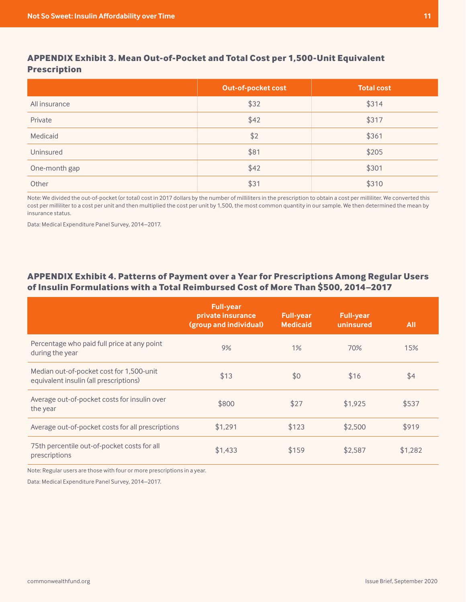# **APPENDIX Exhibit 3. Mean Out-of-Pocket and Total Cost per 1,500-Unit Equivalent Prescription**

|               | Out-of-pocket cost | Total cost |
|---------------|--------------------|------------|
| All insurance | \$32               | \$314      |
| Private       | \$42               | \$317      |
| Medicaid      | \$2                | \$361      |
| Uninsured     | \$81               | \$205      |
| One-month gap | \$42               | \$301      |
| Other         | \$31               | \$310      |

Note: We divided the out-of-pocket (or total) cost in 2017 dollars by the number of milliliters in the prescription to obtain a cost per milliliter. We converted this cost per milliliter to a cost per unit and then multiplied the cost per unit by 1,500, the most common quantity in our sample. We then determined the mean by insurance status.

Data: Medical Expenditure Panel Survey, 2014–2017.

### **APPENDIX Exhibit 4. Patterns of Payment over a Year for Prescriptions Among Regular Users of Insulin Formulations with a Total Reimbursed Cost of More Than \$500, 2014–2017**

|                                                                                    | <b>Full-year</b><br>private insurance<br>(group and individual) | <b>Full-year</b><br><b>Medicaid</b> | Full-year<br>uninsured | <b>All</b> |
|------------------------------------------------------------------------------------|-----------------------------------------------------------------|-------------------------------------|------------------------|------------|
| Percentage who paid full price at any point<br>during the year                     | 9%                                                              | 1%                                  | 70%                    | 15%        |
| Median out-of-pocket cost for 1,500-unit<br>equivalent insulin (all prescriptions) | \$13                                                            | \$0                                 | \$16                   | \$4        |
| Average out-of-pocket costs for insulin over<br>the year                           | \$800                                                           | \$27                                | \$1,925                | \$537      |
| Average out-of-pocket costs for all prescriptions                                  | \$1,291                                                         | \$123                               | \$2,500                | \$919      |
| 75th percentile out-of-pocket costs for all<br>prescriptions                       | \$1,433                                                         | \$159                               | \$2,587                | \$1,282    |

Note: Regular users are those with four or more prescriptions in a year.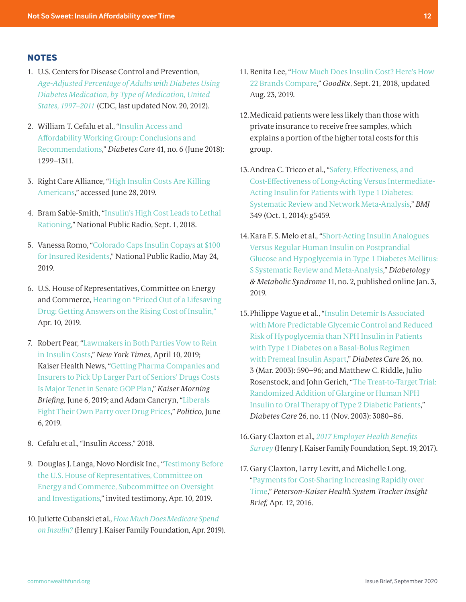### <span id="page-11-0"></span>**NOTES**

- [1](#page-1-0). U.S. Centers for Disease Control and Prevention, *[Age-Adjusted Percentage of Adults with Diabetes Using](https://web.archive.org/web/20190724015709/https://www.cdc.gov/diabetes/statistics/meduse/fig2.htm)  [Diabetes Medication, by Type of Medication, United](https://web.archive.org/web/20190724015709/https://www.cdc.gov/diabetes/statistics/meduse/fig2.htm)  [States, 1997–2011](https://web.archive.org/web/20190724015709/https://www.cdc.gov/diabetes/statistics/meduse/fig2.htm)* (CDC, last updated Nov. 20, 2012).
- [2](#page-1-0). William T. Cefalu et al., "[Insulin Access and](https://care.diabetesjournals.org/content/41/6/1299.long)  [Affordability Working Group: Conclusions and](https://care.diabetesjournals.org/content/41/6/1299.long)  [Recommendations](https://care.diabetesjournals.org/content/41/6/1299.long)," *Diabetes Care* 41, no. 6 (June 2018): 1299–1311.
- [3](#page-1-0). Right Care Alliance, ["High Insulin Costs Are Killing](https://rightcarealliance.org/actions/insulin/)  [Americans](https://rightcarealliance.org/actions/insulin/)," accessed June 28, 2019.
- [4.](#page-1-0) Bram Sable-Smith, "[Insulin's High Cost Leads to Lethal](https://www.npr.org/sections/health-shots/2018/09/01/641615877/insulins-high-cost-leads-to-lethal-rationing)  [Rationing,](https://www.npr.org/sections/health-shots/2018/09/01/641615877/insulins-high-cost-leads-to-lethal-rationing)" National Public Radio, Sept. 1, 2018.
- [5](#page-1-0). Vanessa Romo, ["Colorado Caps Insulin Copays at \\$100](https://www.npr.org/2019/05/24/726817332/colorado-caps-insulin-co-pays-at-100-for-insured-residents)  [for Insured Residents](https://www.npr.org/2019/05/24/726817332/colorado-caps-insulin-co-pays-at-100-for-insured-residents)," National Public Radio, May 24, 2019.
- [6.](#page-1-0) U.S. House of Representatives, Committee on Energy and Commerce, [Hearing on "Priced Out of a Lifesaving](https://energycommerce.house.gov/committee-activity/hearings/hearing-on-priced-out-of-a-lifesaving-drug-getting-answers-on-the-rising)  [Drug: Getting Answers on the Rising Cost of Insulin,"](https://energycommerce.house.gov/committee-activity/hearings/hearing-on-priced-out-of-a-lifesaving-drug-getting-answers-on-the-rising) Apr. 10, 2019.
- [7.](#page-1-0) Robert Pear, ["Lawmakers in Both Parties Vow to Rein](https://www.nytimes.com/2019/04/10/us/politics/insulin-prices-legislation.html)  [in Insulin Costs](https://www.nytimes.com/2019/04/10/us/politics/insulin-prices-legislation.html)," *New York Times*, April 10, 2019; Kaiser Health News, "[Getting Pharma Companies and](https://khn.org/morning-breakout/getting-pharma-companies-and-insurers-to-pick-up-larger-part-of-seniors-drugs-costs-major-tenet-in-senate-gop-plan/)  [Insurers to Pick Up Larger Part of Seniors' Drugs Costs](https://khn.org/morning-breakout/getting-pharma-companies-and-insurers-to-pick-up-larger-part-of-seniors-drugs-costs-major-tenet-in-senate-gop-plan/)  [Is Major Tenet in Senate GOP Plan](https://khn.org/morning-breakout/getting-pharma-companies-and-insurers-to-pick-up-larger-part-of-seniors-drugs-costs-major-tenet-in-senate-gop-plan/)," *Kaiser Morning Briefing,* June 6, 2019; and Adam Cancryn, ["Liberals](https://www.politico.com/story/2019/06/06/democrats-prescription-drug-prices-1497676)  [Fight Their Own Party over Drug Prices,](https://www.politico.com/story/2019/06/06/democrats-prescription-drug-prices-1497676)" *Politico,* June 6, 2019.
- [8.](#page-2-0) Cefalu et al., "Insulin Access," 2018.
- [9.](#page-2-0) Douglas J. Langa, Novo Nordisk Inc., "[Testimony Before](https://energycommerce.house.gov/sites/democrats.energycommerce.house.gov/files/documents/Testimony-%20Langa%2004.10.2019.pdf)  [the U.S. House of Representatives, Committee on](https://energycommerce.house.gov/sites/democrats.energycommerce.house.gov/files/documents/Testimony-%20Langa%2004.10.2019.pdf)  [Energy and Commerce, Subcommittee on Oversight](https://energycommerce.house.gov/sites/democrats.energycommerce.house.gov/files/documents/Testimony-%20Langa%2004.10.2019.pdf)  [and Investigations,](https://energycommerce.house.gov/sites/democrats.energycommerce.house.gov/files/documents/Testimony-%20Langa%2004.10.2019.pdf)" invited testimony, Apr. 10, 2019.
- [10](#page-2-0).Juliette Cubanski et al., *[How Much Does Medicare Spend](https://www.kff.org/medicare/issue-brief/how-much-does-medicare-spend-on-insulin/)  [on Insulin?](https://www.kff.org/medicare/issue-brief/how-much-does-medicare-spend-on-insulin/)* (Henry J. Kaiser Family Foundation, Apr. 2019).
- [11.](#page-2-0) Benita Lee, "[How Much Does Insulin Cost? Here's How](https://www.goodrx.com/blog/how-much-does-insulin-cost-compare-brands/)  [22 Brands Compare,](https://www.goodrx.com/blog/how-much-does-insulin-cost-compare-brands/)" *GoodRx*, Sept. 21, 2018, updated Aug. 23, 2019.
- [12](#page-3-0).Medicaid patients were less likely than those with private insurance to receive free samples, which explains a portion of the higher total costs for this group.
- [13](#page-3-0).Andrea C. Tricco et al., ["Safety, Effectiveness, and](https://www.bmj.com/content/349/bmj.g5459)  [Cost-Effectiveness of Long-Acting Versus Intermediate-](https://www.bmj.com/content/349/bmj.g5459)[Acting Insulin for Patients with Type 1 Diabetes:](https://www.bmj.com/content/349/bmj.g5459)  [Systematic Review and Network Meta-Analysis,](https://www.bmj.com/content/349/bmj.g5459)" *BMJ* 349 (Oct. 1, 2014): g5459.
- [14](#page-3-0).Kara F. S. Melo et al., "[Short-Acting Insulin Analogues](https://doi.org/10.1186/s13098-018-0397-3)  [Versus Regular Human Insulin on Postprandial](https://doi.org/10.1186/s13098-018-0397-3)  [Glucose and Hypoglycemia in Type 1 Diabetes Mellitus:](https://doi.org/10.1186/s13098-018-0397-3)  [S Systematic Review and Meta-Analysis,](https://doi.org/10.1186/s13098-018-0397-3)" *Diabetology & Metabolic Syndrome* 11, no. 2, published online Jan. 3, 2019.
- [15](#page-3-0).Philippe Vague et al., "[Insulin Detemir Is Associated](https://care.diabetesjournals.org/content/26/3/590.long)  [with More Predictable Glycemic Control and Reduced](https://care.diabetesjournals.org/content/26/3/590.long)  [Risk of Hypoglycemia than NPH Insulin in Patients](https://care.diabetesjournals.org/content/26/3/590.long)  [with Type 1 Diabetes on a Basal-Bolus Regimen](https://care.diabetesjournals.org/content/26/3/590.long)  [with Premeal Insulin Aspart,](https://care.diabetesjournals.org/content/26/3/590.long)" *Diabetes Care* 26, no. 3 (Mar. 2003): 590–96; and Matthew C. Riddle, Julio Rosenstock, and John Gerich, "[The Treat-to-Target Trial:](https://care.diabetesjournals.org/content/26/11/3080)  [Randomized Addition of Glargine or Human NPH](https://care.diabetesjournals.org/content/26/11/3080)  [Insulin to Oral Therapy of Type 2 Diabetic Patients](https://care.diabetesjournals.org/content/26/11/3080)," *Diabetes Care* 26, no. 11 (Nov. 2003): 3080–86.
- [16](#page-5-0).Gary Claxton et al., *[2017 Employer Health Benefits](https://www.kff.org/health-costs/report/2017-employer-health-benefits-survey/)  [Survey](https://www.kff.org/health-costs/report/2017-employer-health-benefits-survey/)* (Henry J. Kaiser Family Foundation, Sept. 19, 2017).
- [17](#page-5-0). Gary Claxton, Larry Levitt, and Michelle Long, ["Payments for Cost-Sharing Increasing Rapidly over](https://www.healthsystemtracker.org/brief/payments-for-cost-sharing-increasing-rapidly-over-time/)  [Time,](https://www.healthsystemtracker.org/brief/payments-for-cost-sharing-increasing-rapidly-over-time/)" *Peterson-Kaiser Health System Tracker Insight Brief,* Apr. 12, 2016.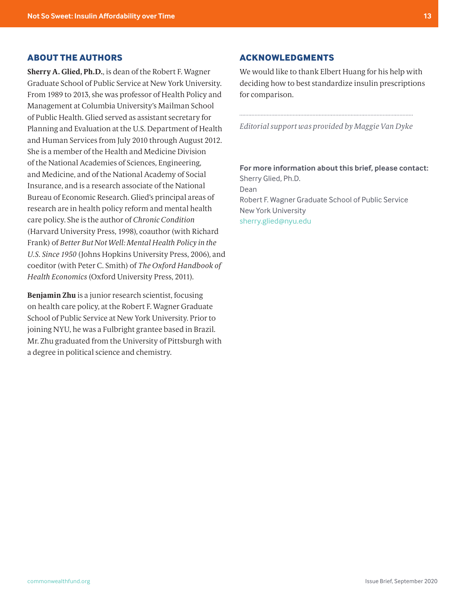### **ABOUT THE AUTHORS**

**Sherry A. Glied, Ph.D.**, is dean of the Robert F. Wagner Graduate School of Public Service at New York University. From 1989 to 2013, she was professor of Health Policy and Management at Columbia University's Mailman School of Public Health. Glied served as assistant secretary for Planning and Evaluation at the U.S. Department of Health and Human Services from July 2010 through August 2012. She is a member of the Health and Medicine Division of the National Academies of Sciences, Engineering, and Medicine, and of the National Academy of Social Insurance, and is a research associate of the National Bureau of Economic Research. Glied's principal areas of research are in health policy reform and mental health care policy. She is the author of *Chronic Condition* (Harvard University Press, 1998), coauthor (with Richard Frank) of *Better But Not Well: Mental Health Policy in the U.S. Since 1950* (Johns Hopkins University Press, 2006), and coeditor (with Peter C. Smith) of *The Oxford Handbook of Health Economics* (Oxford University Press, 2011).

**Benjamin Zhu** is a junior research scientist, focusing on health care policy, at the Robert F. Wagner Graduate School of Public Service at New York University. Prior to joining NYU, he was a Fulbright grantee based in Brazil. Mr. Zhu graduated from the University of Pittsburgh with a degree in political science and chemistry.

### **ACKNOWLEDGMENTS**

We would like to thank Elbert Huang for his help with deciding how to best standardize insulin prescriptions for comparison.

*Editorial support was provided by Maggie Van Dyke*

### **For more information about this brief, please contact:**

Sherry Glied, Ph.D. Dean Robert F. Wagner Graduate School of Public Service New York University sherry.glied@nyu.edu